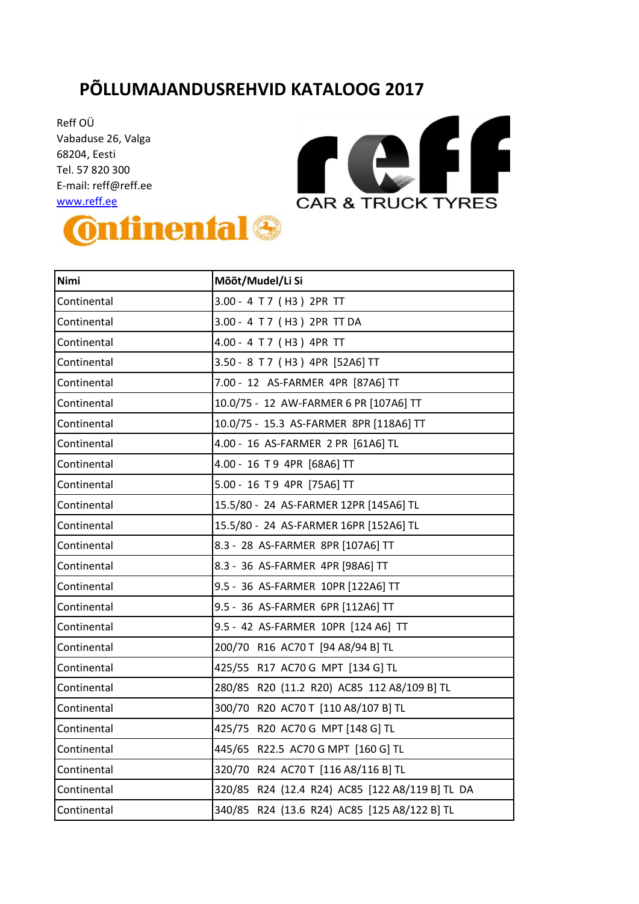## **PÕLLUMAJANDUSREHVID KATALOOG 2017**

Reff OÜ Vabaduse 26, Valga 68204 , Eesti Tel. 57 820 300 E-mail: reff@reff.ee [www.reff.ee](http://www.reff.ee/) 





| Nimi        | Mõõt/Mudel/Li Si                                |  |
|-------------|-------------------------------------------------|--|
| Continental | 3.00 - 4 T 7 (H3) 2PR TT                        |  |
| Continental | 3.00 - 4 T 7 (H3) 2PR TT DA                     |  |
| Continental | 4.00 - 4 T 7 (H3) 4PR TT                        |  |
| Continental | 3.50 - 8 T 7 (H3) 4PR [52A6] TT                 |  |
| Continental | 7.00 - 12 AS-FARMER 4PR [87A6] TT               |  |
| Continental | 10.0/75 - 12 AW-FARMER 6 PR [107A6] TT          |  |
| Continental | 10.0/75 - 15.3 AS-FARMER 8PR [118A6] TT         |  |
| Continental | 4.00 - 16 AS-FARMER 2 PR [61A6] TL              |  |
| Continental | 4.00 - 16 T 9 4PR [68A6] TT                     |  |
| Continental | 5.00 - 16 T 9 4PR [75A6] TT                     |  |
| Continental | 15.5/80 - 24 AS-FARMER 12PR [145A6] TL          |  |
| Continental | 15.5/80 - 24 AS-FARMER 16PR [152A6] TL          |  |
| Continental | 8.3 - 28 AS-FARMER 8PR [107A6] TT               |  |
| Continental | 8.3 - 36 AS-FARMER 4PR [98A6] TT                |  |
| Continental | 9.5 - 36 AS-FARMER 10PR [122A6] TT              |  |
| Continental | 9.5 - 36 AS-FARMER 6PR [112A6] TT               |  |
| Continental | 9.5 - 42 AS-FARMER 10PR [124 A6] TT             |  |
| Continental | 200/70 R16 AC70 T [94 A8/94 B] TL               |  |
| Continental | 425/55 R17 AC70 G MPT [134 G] TL                |  |
| Continental | 280/85 R20 (11.2 R20) AC85 112 A8/109 B] TL     |  |
| Continental | 300/70 R20 AC70 T [110 A8/107 B] TL             |  |
| Continental | 425/75 R20 AC70 G MPT [148 G] TL                |  |
| Continental | 445/65 R22.5 AC70 G MPT [160 G] TL              |  |
| Continental | 320/70 R24 AC70 T [116 A8/116 B] TL             |  |
| Continental | 320/85 R24 (12.4 R24) AC85 [122 A8/119 B] TL DA |  |
| Continental | 340/85 R24 (13.6 R24) AC85 [125 A8/122 B] TL    |  |